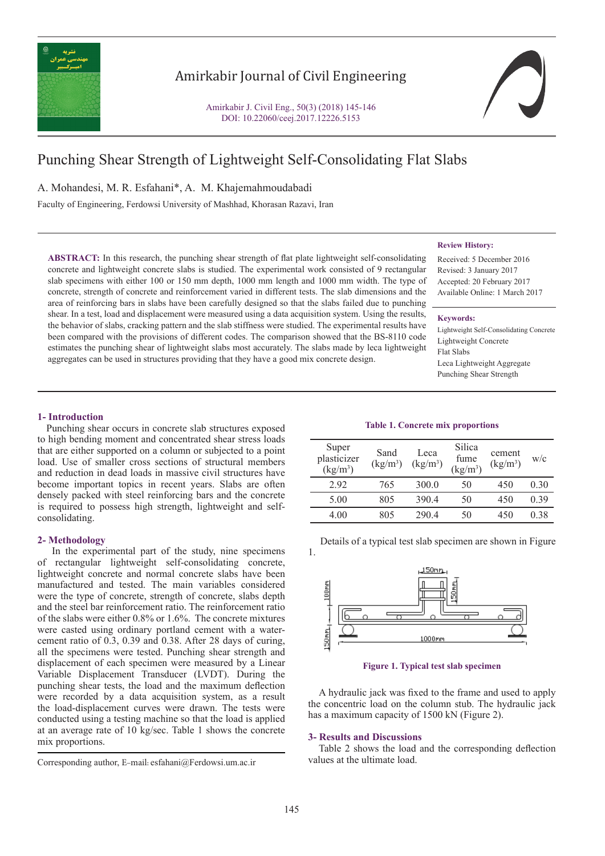

# Amirkabir Journal of Civil Engineering

Amirkabir J. Civil Eng., 50(3) (2018) 145-146 DOI: 10.22060/ceej.2017.12226.5153

# Punching Shear Strength of Lightweight Self-Consolidating Flat Slabs

A. Mohandesi, M. R. Esfahani\*, A. M. Khajemahmoudabadi

Faculty of Engineering, Ferdowsi University of Mashhad, Khorasan Razavi, Iran

**ABSTRACT:** In this research, the punching shear strength of flat plate lightweight self-consolidating concrete and lightweight concrete slabs is studied. The experimental work consisted of 9 rectangular slab specimens with either 100 or 150 mm depth, 1000 mm length and 1000 mm width. The type of concrete, strength of concrete and reinforcement varied in different tests. The slab dimensions and the area of reinforcing bars in slabs have been carefully designed so that the slabs failed due to punching shear. In a test, load and displacement were measured using a data acquisition system. Using the results, the behavior of slabs, cracking pattern and the slab stiffness were studied. The experimental results have been compared with the provisions of different codes. The comparison showed that the BS-8110 code estimates the punching shear of lightweight slabs most accurately. The slabs made by leca lightweight aggregates can be used in structures providing that they have a good mix concrete design.

#### **Review History:**

Received: 5 December 2016 Revised: 3 January 2017 Accepted: 20 February 2017 Available Online: 1 March 2017

#### **Keywords:**

Lightweight Self-Consolidating Concrete Lightweight Concrete Flat Slabs Leca Lightweight Aggregate Punching Shear Strength

## **1- Introduction**

 Punching shear occurs in concrete slab structures exposed to high bending moment and concentrated shear stress loads that are either supported on a column or subjected to a point load. Use of smaller cross sections of structural members and reduction in dead loads in massive civil structures have become important topics in recent years. Slabs are often densely packed with steel reinforcing bars and the concrete is required to possess high strength, lightweight and selfconsolidating.

### **2- Methodology**

 In the experimental part of the study, nine specimens of rectangular lightweight self-consolidating concrete, lightweight concrete and normal concrete slabs have been manufactured and tested. The main variables considered were the type of concrete, strength of concrete, slabs depth and the steel bar reinforcement ratio. The reinforcement ratio of the slabs were either 0.8% or 1.6%. The concrete mixtures were casted using ordinary portland cement with a watercement ratio of 0.3, 0.39 and 0.38. After 28 days of curing, all the specimens were tested. Punching shear strength and displacement of each specimen were measured by a Linear Variable Displacement Transducer (LVDT). During the punching shear tests, the load and the maximum deflection were recorded by a data acquisition system, as a result the load-displacement curves were drawn. The tests were conducted using a testing machine so that the load is applied at an average rate of 10 kg/sec. Table 1 shows the concrete mix proportions.

Corresponding author, E-mail: esfahani@Ferdowsi.um.ac.ir

**Table 1. Concrete mix proportions**

| Super<br>plasticizer<br>$(kg/m^3)$ | Sand<br>(kg/m <sup>3</sup> ) | Leca<br>$(kg/m^3)$ | Silica<br>fume<br>$(kg/m^3)$ | cement<br>$(kg/m^3)$ | W/c  |
|------------------------------------|------------------------------|--------------------|------------------------------|----------------------|------|
| 2.92                               | 765                          | 300.0              | 50                           | 450                  | 0.30 |
| 5.00                               | 805                          | 390.4              | 50                           | 450                  | 0.39 |
| 4.00                               | 805                          | 2904               | 50                           | 450                  | 0.38 |

 Details of a typical test slab specimen are shown in Figure 1.



**Figure 1. Typical test slab specimen**

 A hydraulic jack was fixed to the frame and used to apply the concentric load on the column stub. The hydraulic jack has a maximum capacity of 1500 kN (Figure 2).

#### **3- Results and Discussions**

 Table 2 shows the load and the corresponding deflection values at the ultimate load.